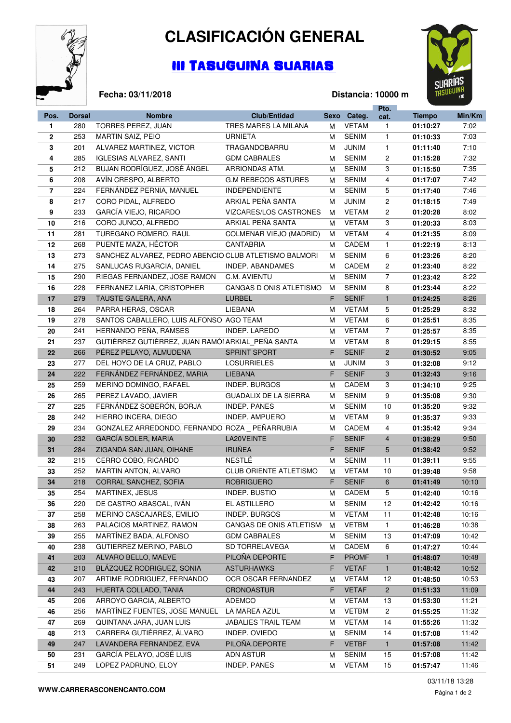

**Fecha: 03/11/2018**

## **CLASIFICACIÓN GENERAL**

## III TASUGUINA SUARIAS



## **Distancia: 10000 m**

|                |               |                                                       |                                |    |              | Pto.           |               |        |
|----------------|---------------|-------------------------------------------------------|--------------------------------|----|--------------|----------------|---------------|--------|
| Pos.           | <b>Dorsal</b> | <b>Nombre</b>                                         | <b>Club/Entidad</b>            |    | Sexo Categ.  | cat.           | <b>Tiempo</b> | Min/Km |
| 1              | 280           | TORRES PEREZ, JUAN                                    | TRES MARES LA MILANA           | м  | <b>VETAM</b> | $\mathbf{1}$   | 01:10:27      | 7:02   |
| $\mathbf{2}$   | 253           | MARTIN SAIZ, PEIO                                     | <b>URNIETA</b>                 | м  | <b>SENIM</b> | $\mathbf{1}$   | 01:10:33      | 7:03   |
| 3              | 201           | ALVAREZ MARTINEZ, VICTOR                              | TRAGANDOBARRU                  | М  | <b>JUNIM</b> | $\mathbf{1}$   | 01:11:40      | 7:10   |
| 4              | 285           | <b>IGLESIAS ALVAREZ, SANTI</b>                        | <b>GDM CABRALES</b>            | М  | <b>SENIM</b> | $\overline{c}$ | 01:15:28      | 7:32   |
| 5              | 212           | BUJAN RODRÍGUEZ, JOSÉ ÁNGEL                           | ARRIONDAS ATM.                 | м  | <b>SENIM</b> | 3              | 01:15:50      | 7:35   |
| 6              | 208           | AVÍN CRESPO, ALBERTO                                  | <b>G.M REBECOS ASTURES</b>     | м  | <b>SENIM</b> | 4              | 01:17:07      | 7:42   |
| $\overline{7}$ | 224           | FERNÁNDEZ PERNIA, MANUEL                              | <b>INDEPENDIENTE</b>           | М  | <b>SENIM</b> | 5              | 01:17:40      | 7:46   |
| 8              | 217           | CORO PIDAL, ALFREDO                                   | ARKIAL PEÑA SANTA              | м  | <b>JUNIM</b> | $\overline{c}$ | 01:18:15      | 7:49   |
| 9              | 233           | GARCÍA VIEJO, RICARDO                                 | VIZCARES/LOS CASTRONES         | M  | <b>VETAM</b> | $\overline{c}$ | 01:20:28      | 8:02   |
| 10             | 216           | CORO JUNCO, ALFREDO                                   | ARKIAL PEÑA SANTA              | м  | <b>VETAM</b> | 3              | 01:20:33      | 8:03   |
| 11             | 281           | TUREGANO ROMERO, RAUL                                 | <b>COLMENAR VIEJO (MADRID)</b> | м  | <b>VETAM</b> | 4              | 01:21:35      | 8:09   |
| 12             | 268           | PUENTE MAZA, HÉCTOR                                   | <b>CANTABRIA</b>               | м  | CADEM        | $\mathbf{1}$   | 01:22:19      | 8:13   |
| 13             | 273           | SANCHEZ ALVAREZ, PEDRO ABENCIO CLUB ATLETISMO BALMORI |                                | м  | <b>SENIM</b> | 6              | 01:23:26      | 8:20   |
| 14             | 275           | SANLUCAS RUGARCIA, DANIEL                             | INDEP. ABANDAMES               | м  | CADEM        | $\overline{c}$ | 01:23:40      | 8:22   |
|                | 290           | RIEGAS FERNANDEZ, JOSE RAMON                          | C.M. AVIENTU                   |    | <b>SENIM</b> | $\overline{7}$ |               | 8:22   |
| 15             |               |                                                       | CANGAS D ONIS ATLETISMO        | м  | <b>SENIM</b> |                | 01:23:42      | 8:22   |
| 16             | 228           | FERNANEZ LARIA, CRISTOPHER                            |                                | м  |              | 8              | 01:23:44      |        |
| 17             | 279           | TAUSTE GALERA, ANA                                    | <b>LURBEL</b>                  | F  | <b>SENIF</b> | $\mathbf{1}$   | 01:24:25      | 8:26   |
| 18             | 264           | PARRA HERAS, OSCAR                                    | <b>LIEBANA</b>                 | м  | <b>VETAM</b> | 5              | 01:25:29      | 8:32   |
| 19             | 278           | SANTOS CABALLERO, LUIS ALFONSO AGO TEAM               |                                | м  | <b>VETAM</b> | 6              | 01:25:51      | 8:35   |
| 20             | 241           | HERNANDO PEÑA, RAMSES                                 | INDEP. LAREDO                  | м  | <b>VETAM</b> | $\overline{7}$ | 01:25:57      | 8:35   |
| 21             | 237           | GUTIÉRREZ GUTIÉRREZ, JUAN RAMÓI ARKIAL PEÑA SANTA     |                                | м  | <b>VETAM</b> | 8              | 01:29:15      | 8:55   |
| 22             | 266           | PÉREZ PELAYO, ALMUDENA                                | <b>SPRINT SPORT</b>            | F. | <b>SENIF</b> | $\overline{2}$ | 01:30:52      | 9:05   |
| 23             | 277           | DEL HOYO DE LA CRUZ, PABLO                            | <b>LOSURRIELES</b>             | M  | JUNIM        | 3              | 01:32:08      | 9:12   |
| 24             | 222           | FERNÁNDEZ FERNÁNDEZ, MARIA                            | <b>LIEBANA</b>                 | F. | <b>SENIF</b> | 3              | 01:32:43      | 9:16   |
| 25             | 259           | MERINO DOMINGO, RAFAEL                                | <b>INDEP. BURGOS</b>           | М  | CADEM        | 3              | 01:34:10      | 9:25   |
| 26             | 265           | PEREZ LAVADO, JAVIER                                  | <b>GUADALIX DE LA SIERRA</b>   | м  | <b>SENIM</b> | 9              | 01:35:08      | 9:30   |
| 27             | 225           | FERNÁNDEZ SOBERÓN, BORJA                              | <b>INDEP. PANES</b>            | м  | <b>SENIM</b> | 10             | 01:35:20      | 9:32   |
| 28             | 242           | HIERRO INCERA, DIEGO                                  | INDEP. AMPUERO                 | м  | <b>VETAM</b> | 9              | 01:35:37      | 9:33   |
| 29             | 234           | GONZALEZ ARREDONDO, FERNANDO ROZA PEÑARRUBIA          |                                | М  | CADEM        | 4              | 01:35:42      | 9:34   |
| 30             | 232           | GARCÍA SOLER, MARIA                                   | LA20VEINTE                     | F. | <b>SENIF</b> | $\overline{4}$ | 01:38:29      | 9:50   |
| 31             | 284           | ZIGANDA SAN JUAN, OIHANE                              | <b>IRUÑEA</b>                  | F  | <b>SENIF</b> | 5              | 01:38:42      | 9:52   |
| 32             | 215           | CERRO COBO, RICARDO                                   | <b>NESTLÉ</b>                  | м  | <b>SENIM</b> | 11             | 01:39:11      | 9:55   |
| 33             | 252           | MARTIN ANTON, ALVARO                                  | <b>CLUB ORIENTE ATLETISMO</b>  | м  | <b>VETAM</b> | 10             | 01:39:48      | 9:58   |
| 34             | 218           | CORRAL SANCHEZ, SOFIA                                 | <b>ROBRIGUERO</b>              | F. | <b>SENIF</b> | 6              | 01:41:49      | 10:10  |
| 35             | 254           | MARTINEX, JESUS                                       | INDEP. BUSTIO                  | M  | CADEM        | 5              | 01:42:40      | 10:16  |
| 36             | 220           | DE CASTRO ABASCAL, IVAN                               | EL ASTILLERO                   | М  | <b>SENIM</b> | 12             | 01:42:42      | 10:16  |
| 37             | 258           | MERINO CASCAJARES, EMILIO                             | INDEP. BURGOS                  | м  | <b>VETAM</b> | 11             | 01:42:48      | 10:16  |
| 38             | 263           | PALACIOS MARTINEZ, RAMON                              | CANGAS DE ONIS ATLETISM        | м  | <b>VETBM</b> | $\mathbf{1}$   | 01:46:28      | 10:38  |
| 39             | 255           | MARTÍNEZ BADA, ALFONSO                                | <b>GDM CABRALES</b>            | м  | <b>SENIM</b> | 13             | 01:47:09      | 10:42  |
| 40             | 238           | <b>GUTIERREZ MERINO, PABLO</b>                        | SD TORRELAVEGA                 | М  | CADEM        | 6              | 01:47:27      | 10:44  |
| 41             | 203           | ALVARO BELLO, MAEVE                                   | PILOÑA DEPORTE                 | F  | <b>PROMF</b> | $\mathbf{1}$   | 01:48:07      | 10:48  |
| 42             | 210           | BLÁZQUEZ RODRIGUEZ, SONIA                             | <b>ASTURHAWKS</b>              | F  | <b>VETAF</b> | $\mathbf{1}$   | 01:48:42      | 10:52  |
| 43             | 207           | ARTIME RODRIGUEZ, FERNANDO                            | OCR OSCAR FERNANDEZ            | м  | <b>VETAM</b> | 12             | 01:48:50      | 10:53  |
| 44             | 243           | HUERTA COLLADO, TANIA                                 | <b>CRONOASTUR</b>              | F. | <b>VETAF</b> | $\overline{2}$ | 01:51:33      | 11:09  |
| 45             | 206           | ARROYO GARCIA, ALBERTO                                | ADEMCO                         | M  | <b>VETAM</b> | 13             | 01:53:30      | 11:21  |
| 46             | 256           | MARTINEZ FUENTES, JOSE MANUEL                         | LA MAREA AZUL                  | м  | <b>VETBM</b> | $\overline{c}$ | 01:55:25      | 11:32  |
| 47             | 269           | QUINTANA JARA, JUAN LUIS                              | <b>JABALIES TRAIL TEAM</b>     | м  | <b>VETAM</b> | 14             | 01:55:26      | 11:32  |
| 48             | 213           | CARRERA GUTIÉRREZ, ÁLVARO                             | INDEP. OVIEDO                  | м  | <b>SENIM</b> | 14             | 01:57:08      | 11:42  |
| 49             | 247           | LAVANDERA FERNANDEZ, EVA                              | PILOÑA.DEPORTE                 | F  | <b>VETBF</b> | $\mathbf{1}$   |               | 11:42  |
|                |               |                                                       |                                |    |              |                | 01:57:08      |        |
| 50             | 231           | GARCÍA PELAYO, JOSÉ LUIS                              | <b>ADN ASTUR</b>               | М  | <b>SENIM</b> | 15             | 01:57:08      | 11:42  |
| 51             | 249           | LOPEZ PADRUNO, ELOY                                   | INDEP. PANES                   | м  | <b>VETAM</b> | 15             | 01:57:47      | 11:46  |